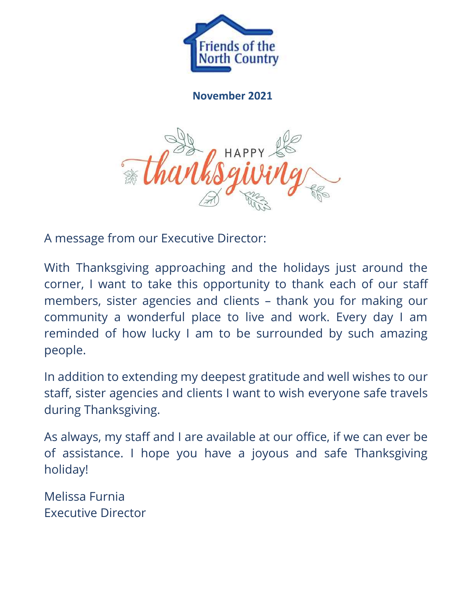

**November 2021**



A message from our Executive Director:

With Thanksgiving approaching and the holidays just around the corner, I want to take this opportunity to thank each of our staff members, sister agencies and clients – thank you for making our community a wonderful place to live and work. Every day I am reminded of how lucky I am to be surrounded by such amazing people.

In addition to extending my deepest gratitude and well wishes to our staff, sister agencies and clients I want to wish everyone safe travels during Thanksgiving.

As always, my staff and I are available at our office, if we can ever be of assistance. I hope you have a joyous and safe Thanksgiving holiday!

Melissa Furnia Executive Director